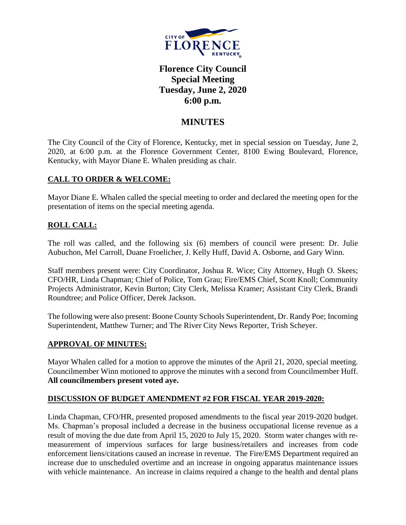

# **Florence City Council Special Meeting Tuesday, June 2, 2020 6:00 p.m.**

## **MINUTES**

The City Council of the City of Florence, Kentucky, met in special session on Tuesday, June 2, 2020, at 6:00 p.m. at the Florence Government Center, 8100 Ewing Boulevard, Florence, Kentucky, with Mayor Diane E. Whalen presiding as chair.

## **CALL TO ORDER & WELCOME:**

Mayor Diane E. Whalen called the special meeting to order and declared the meeting open for the presentation of items on the special meeting agenda.

## **ROLL CALL:**

The roll was called, and the following six (6) members of council were present: Dr. Julie Aubuchon, Mel Carroll, Duane Froelicher, J. Kelly Huff, David A. Osborne, and Gary Winn.

Staff members present were: City Coordinator, Joshua R. Wice; City Attorney, Hugh O. Skees; CFO/HR, Linda Chapman; Chief of Police, Tom Grau; Fire/EMS Chief, Scott Knoll; Community Projects Administrator, Kevin Burton; City Clerk, Melissa Kramer; Assistant City Clerk, Brandi Roundtree; and Police Officer, Derek Jackson.

The following were also present: Boone County Schools Superintendent, Dr. Randy Poe; Incoming Superintendent, Matthew Turner; and The River City News Reporter, Trish Scheyer.

## **APPROVAL OF MINUTES:**

Mayor Whalen called for a motion to approve the minutes of the April 21, 2020, special meeting. Councilmember Winn motioned to approve the minutes with a second from Councilmember Huff. **All councilmembers present voted aye.** 

## **DISCUSSION OF BUDGET AMENDMENT #2 FOR FISCAL YEAR 2019-2020:**

Linda Chapman, CFO/HR, presented proposed amendments to the fiscal year 2019-2020 budget. Ms. Chapman's proposal included a decrease in the business occupational license revenue as a result of moving the due date from April 15, 2020 to July 15, 2020. Storm water changes with remeasurement of impervious surfaces for large business/retailers and increases from code enforcement liens/citations caused an increase in revenue. The Fire/EMS Department required an increase due to unscheduled overtime and an increase in ongoing apparatus maintenance issues with vehicle maintenance. An increase in claims required a change to the health and dental plans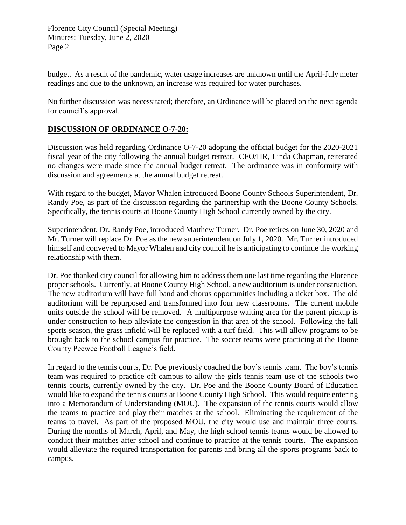budget. As a result of the pandemic, water usage increases are unknown until the April-July meter readings and due to the unknown, an increase was required for water purchases.

No further discussion was necessitated; therefore, an Ordinance will be placed on the next agenda for council's approval.

#### **DISCUSSION OF ORDINANCE O-7-20:**

Discussion was held regarding Ordinance O-7-20 adopting the official budget for the 2020-2021 fiscal year of the city following the annual budget retreat. CFO/HR, Linda Chapman, reiterated no changes were made since the annual budget retreat. The ordinance was in conformity with discussion and agreements at the annual budget retreat.

With regard to the budget, Mayor Whalen introduced Boone County Schools Superintendent, Dr. Randy Poe, as part of the discussion regarding the partnership with the Boone County Schools. Specifically, the tennis courts at Boone County High School currently owned by the city.

Superintendent, Dr. Randy Poe, introduced Matthew Turner. Dr. Poe retires on June 30, 2020 and Mr. Turner will replace Dr. Poe as the new superintendent on July 1, 2020. Mr. Turner introduced himself and conveyed to Mayor Whalen and city council he is anticipating to continue the working relationship with them.

Dr. Poe thanked city council for allowing him to address them one last time regarding the Florence proper schools. Currently, at Boone County High School, a new auditorium is under construction. The new auditorium will have full band and chorus opportunities including a ticket box. The old auditorium will be repurposed and transformed into four new classrooms. The current mobile units outside the school will be removed. A multipurpose waiting area for the parent pickup is under construction to help alleviate the congestion in that area of the school. Following the fall sports season, the grass infield will be replaced with a turf field. This will allow programs to be brought back to the school campus for practice. The soccer teams were practicing at the Boone County Peewee Football League's field.

In regard to the tennis courts, Dr. Poe previously coached the boy's tennis team. The boy's tennis team was required to practice off campus to allow the girls tennis team use of the schools two tennis courts, currently owned by the city. Dr. Poe and the Boone County Board of Education would like to expand the tennis courts at Boone County High School. This would require entering into a Memorandum of Understanding (MOU). The expansion of the tennis courts would allow the teams to practice and play their matches at the school. Eliminating the requirement of the teams to travel. As part of the proposed MOU, the city would use and maintain three courts. During the months of March, April, and May, the high school tennis teams would be allowed to conduct their matches after school and continue to practice at the tennis courts. The expansion would alleviate the required transportation for parents and bring all the sports programs back to campus.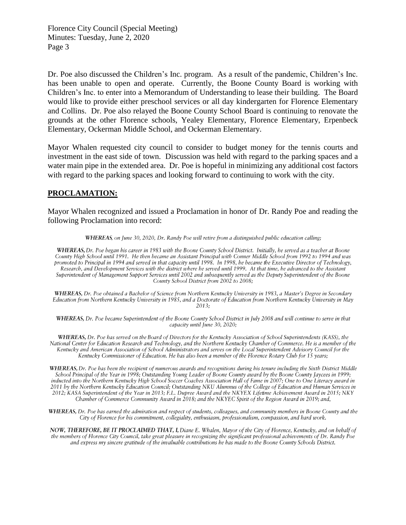Dr. Poe also discussed the Children's Inc. program. As a result of the pandemic, Children's Inc. has been unable to open and operate. Currently, the Boone County Board is working with Children's Inc. to enter into a Memorandum of Understanding to lease their building. The Board would like to provide either preschool services or all day kindergarten for Florence Elementary and Collins. Dr. Poe also relayed the Boone County School Board is continuing to renovate the grounds at the other Florence schools, Yealey Elementary, Florence Elementary, Erpenbeck Elementary, Ockerman Middle School, and Ockerman Elementary.

Mayor Whalen requested city council to consider to budget money for the tennis courts and investment in the east side of town. Discussion was held with regard to the parking spaces and a water main pipe in the extended area. Dr. Poe is hopeful in minimizing any additional cost factors with regard to the parking spaces and looking forward to continuing to work with the city.

#### **PROCLAMATION:**

Mayor Whalen recognized and issued a Proclamation in honor of Dr. Randy Poe and reading the following Proclamation into record:

WHEREAS, on June 30, 2020, Dr. Randy Poe will retire from a distinguished public education calling;

WHEREAS, Dr. Poe began his career in 1983 with the Boone County School District. Initially, he served as a teacher at Boone County High School until 1991. He then became an Assistant Principal with Conner Middle School from 1992 to 1994 and was promoted to Principal in 1994 and served in that capacity until 1998. In 1998, he became the Executive Director of Technology, Research, and Development Services with the district where he served until 1999. At that time, he advanced to the Assistant Superintendent of Management Support Services until 2002 and subsequently served as the Deputy Superintendent of the Boone County School District from 2002 to 2008;

WHEREAS, Dr. Poe obtained a Bachelor of Science from Northern Kentucky University in 1983, a Master's Degree in Secondary Education from Northern Kentucky University in 1985, and a Doctorate of Éducation from Northern Kentucky University in May  $2013:$ 

WHEREAS, Dr. Poe became Superintendent of the Boone County School District in July 2008 and will continue to serve in that capacity until June 30, 2020;

WHEREAS, Dr. Poe has served on the Board of Directors for the Kentucky Association of School Superintendents (KASS), the National Center for Education Research and Technology, and the Northern Kentucky Chamber of Commerce. He is a member of the Kentucky and American Association of School Administrators and serves on the Local Superintendent Advisory Council for the Kentucky Commissioner of Education. He has also been a member of the Florence Rotary Club for 15 years;

WHEREAS, Dr. Poe has been the recipient of numerous awards and recognitions during his tenure including the Sixth District Middle School Principal of the Year in 1998; Outstanding Young Leader of Boone County award by the Boone County Jaycees in 1999; inducted into the Northern Kentucky High School Soccer Coaches Association Hall of Fame in 2007; One to One Literacy award in 2011 by the Northern Kentucky Education Council; Outstanding NKU Alumnus of the College of Education and Human Services in 2012; KASA Superintendent of the Year in 2013; F.L. Dupree Award and the NKYEX Lifetime Achievement Award in 2015; NKY Chamber of Commerce Community Award in 2018; and the NKYEC Spirit of the Region Award in 2019; and,

WHEREAS, Dr. Poe has earned the admiration and respect of students, colleagues, and community members in Boone County and the City of Florence for his commitment, collegiality, enthusiasm, professionalism, compassion, and hard work.

NOW, THEREFORE, BE IT PROCLAIMED THAT, I, Diane E. Whalen, Mayor of the City of Florence, Kentucky, and on behalf of the members of Florence City Council, take great pleasure in recognizing the significant professional achievements of Dr. Randy Poe and express my sincere gratitude of the invaluable contributions he has made to the Boone County Schools District.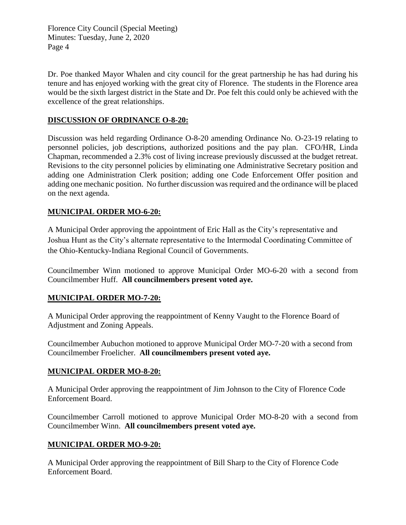Dr. Poe thanked Mayor Whalen and city council for the great partnership he has had during his tenure and has enjoyed working with the great city of Florence. The students in the Florence area would be the sixth largest district in the State and Dr. Poe felt this could only be achieved with the excellence of the great relationships.

#### **DISCUSSION OF ORDINANCE O-8-20:**

Discussion was held regarding Ordinance O-8-20 amending Ordinance No. O-23-19 relating to personnel policies, job descriptions, authorized positions and the pay plan. CFO/HR, Linda Chapman, recommended a 2.3% cost of living increase previously discussed at the budget retreat. Revisions to the city personnel policies by eliminating one Administrative Secretary position and adding one Administration Clerk position; adding one Code Enforcement Offer position and adding one mechanic position. No further discussion was required and the ordinance will be placed on the next agenda.

#### **MUNICIPAL ORDER MO-6-20:**

A Municipal Order approving the appointment of Eric Hall as the City's representative and Joshua Hunt as the City's alternate representative to the Intermodal Coordinating Committee of the Ohio-Kentucky-Indiana Regional Council of Governments.

Councilmember Winn motioned to approve Municipal Order MO-6-20 with a second from Councilmember Huff. **All councilmembers present voted aye.**

#### **MUNICIPAL ORDER MO-7-20:**

A Municipal Order approving the reappointment of Kenny Vaught to the Florence Board of Adjustment and Zoning Appeals.

Councilmember Aubuchon motioned to approve Municipal Order MO-7-20 with a second from Councilmember Froelicher. **All councilmembers present voted aye.**

#### **MUNICIPAL ORDER MO-8-20:**

A Municipal Order approving the reappointment of Jim Johnson to the City of Florence Code Enforcement Board.

Councilmember Carroll motioned to approve Municipal Order MO-8-20 with a second from Councilmember Winn. **All councilmembers present voted aye.**

#### **MUNICIPAL ORDER MO-9-20:**

A Municipal Order approving the reappointment of Bill Sharp to the City of Florence Code Enforcement Board.